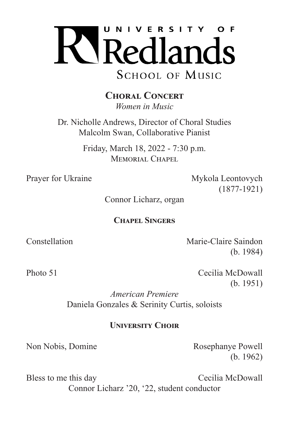

**Choral Concert** *Women in Music*

Dr. Nicholle Andrews, Director of Choral Studies Malcolm Swan, Collaborative Pianist

> Friday, March 18, 2022 - 7:30 p.m. MEMORIAL CHAPEL

Prayer for Ukraine Mykola Leontovych (1877-1921)

Connor Licharz, organ

## **Chapel Singers**

Constellation Marie-Claire Saindon (b. 1984)

Photo 51 Cecilia McDowall (b. 1951)

> *American Premiere* Daniela Gonzales & Serinity Curtis, soloists

## **University Choir**

Non Nobis, Domine Rosephanye Powell (b. 1962)

Bless to me this day Cecilia McDowall Connor Licharz '20, '22, student conductor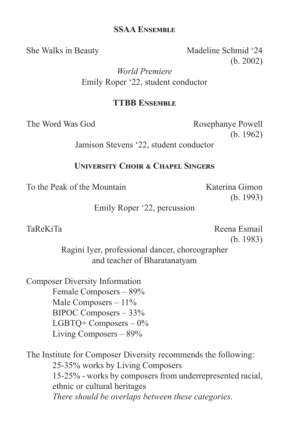## **SSAA Ensemble**

She Walks in Beauty Madeline Schmid '24 (b. 2002)

> *World Premiere* Emily Roper '22, student conductor

## **TTBB Ensemble**

The Word Was God Rosephanye Powell (b. 1962)

Jamison Stevens '22, student conductor

## **University Choir & Chapel Singers**

To the Peak of the Mountain The Katerina Gimon

(b. 1993)

Emily Roper '22, percussion

TaReKiTa **Reena Esmail** (b. 1983)

> Ragini Iyer, professional dancer, choreographer and teacher of Bharatanatyam

Composer Diversity Information Female Composers – 89% Male Composers – 11% BIPOC Composers – 33% LGBTQ+ Composers – 0% Living Composers – 89%

The Institute for Composer Diversity recommends the following: 25-35% works by Living Composers 15-25% - works by composers from underrepresented racial, ethnic or cultural heritages *There should be overlaps between these categories.*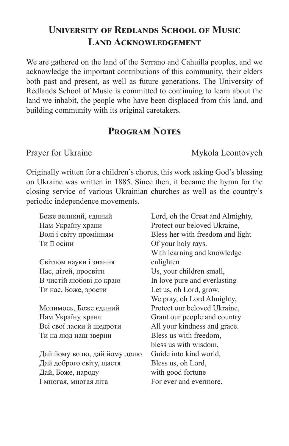# **University of Redlands School of Music Land Acknowledgement**

We are gathered on the land of the Serrano and Cahuilla peoples, and we acknowledge the important contributions of this community, their elders both past and present, as well as future generations. The University of Redlands School of Music is committed to continuing to learn about the land we inhabit, the people who have been displaced from this land, and building community with its original caretakers.

# **Program Notes**

Prayer for Ukraine Mykola Leontovych

Originally written for a children's chorus, this work asking God's blessing on Ukraine was written in 1885. Since then, it became the hymn for the closing service of various Ukrainian churches as well as the country's periodic independence movements.

| Боже великий, єдиний         | Lord, oh the Great and Almighty, |
|------------------------------|----------------------------------|
| Нам Україну храни            | Protect our beloved Ukraine,     |
| Волі і світу промінням       | Bless her with freedom and light |
| Ти її осіни                  | Of your holy rays.               |
|                              | With learning and knowledge      |
| Світлом науки і знання       | enlighten                        |
| Нас, дітей, просвіти         | Us, your children small,         |
| В чистій любові до краю      | In love pure and everlasting     |
| Ти нас, Боже, зрости         | Let us, oh Lord, grow.           |
|                              | We pray, oh Lord Almighty,       |
| Молимось, Боже єдиний        | Protect our beloved Ukraine,     |
| Нам Україну храни            | Grant our people and country     |
| Всі свої ласки й щедроти     | All your kindness and grace.     |
| Ти на люд наш зверни         | Bless us with freedom,           |
|                              | bless us with wisdom,            |
| Дай йому волю, дай йому долю | Guide into kind world,           |
| Дай доброго світу, щастя     | Bless us, oh Lord,               |
| Дай, Боже, народу            | with good fortune                |
| I многая, многая літа        | For ever and evermore.           |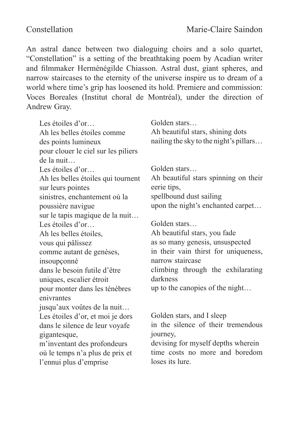An astral dance between two dialoguing choirs and a solo quartet, "Constellation" is a setting of the breathtaking poem by Acadian writer and filmmaker Herménégilde Chiasson. Astral dust, giant spheres, and narrow staircases to the eternity of the universe inspire us to dream of a world where time's grip has loosened its hold. Premiere and commission: Voces Boreales (Institut choral de Montréal), under the direction of Andrew Gray.

Les étoiles d'or… Ah les belles étoiles comme des points lumineux pour clouer le ciel sur les piliers de la nuit… Les étoiles d'or… Ah les belles étoiles qui tournent sur leurs pointes sinistres, enchantement où la poussière navigue sur le tapis magique de la nuit… Les étoiles d'or… Ah les belles étoiles, vous qui pâlissez comme autant de genèses, insoupçonné dans le besoin futile d'être uniques, escalier étroit pour monter dans les ténèbres enivrantes jusqu'aux voûtes de la nuit… Les étoiles d'or, et moi je dors dans le silence de leur voyafe gigantesque, m'inventant des profondeurs où le temps n'a plus de prix et l'ennui plus d'emprise

Golden stars… Ah beautiful stars, shining dots nailing the sky to the night's pillars…

Golden stars…

Ah beautiful stars spinning on their eerie tips, spellbound dust sailing upon the night's enchanted carpet…

Golden stars… Ah beautiful stars, you fade as so many genesis, unsuspected in their vain thirst for uniqueness, narrow staircase climbing through the exhilarating darkness up to the canopies of the night…

Golden stars, and I sleep in the silence of their tremendous journey, devising for myself depths wherein time costs no more and boredom

loses its lure.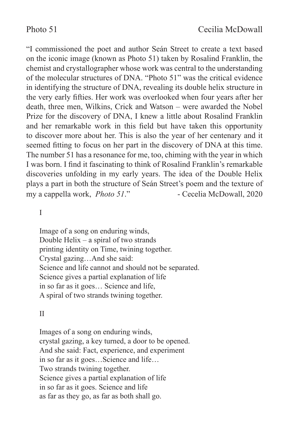"I commissioned the poet and author Seán Street to create a text based on the iconic image (known as Photo 51) taken by Rosalind Franklin, the chemist and crystallographer whose work was central to the understanding of the molecular structures of DNA. "Photo 51" was the critical evidence in identifying the structure of DNA, revealing its double helix structure in the very early fifties. Her work was overlooked when four years after her death, three men, Wilkins, Crick and Watson – were awarded the Nobel Prize for the discovery of DNA, I knew a little about Rosalind Franklin and her remarkable work in this field but have taken this opportunity to discover more about her. This is also the year of her centenary and it seemed fitting to focus on her part in the discovery of DNA at this time. The number 51 has a resonance for me, too, chiming with the year in which I was born. I find it fascinating to think of Rosalind Franklin's remarkable discoveries unfolding in my early years. The idea of the Double Helix plays a part in both the structure of Seán Street's poem and the texture of my a cappella work, *Photo 51*." - Cecelia McDowall, 2020

I

Image of a song on enduring winds, Double Helix – a spiral of two strands printing identity on Time, twining together. Crystal gazing…And she said: Science and life cannot and should not be separated. Science gives a partial explanation of life in so far as it goes… Science and life, A spiral of two strands twining together.

#### II

Images of a song on enduring winds, crystal gazing, a key turned, a door to be opened. And she said: Fact, experience, and experiment in so far as it goes…Science and life… Two strands twining together. Science gives a partial explanation of life in so far as it goes. Science and life as far as they go, as far as both shall go.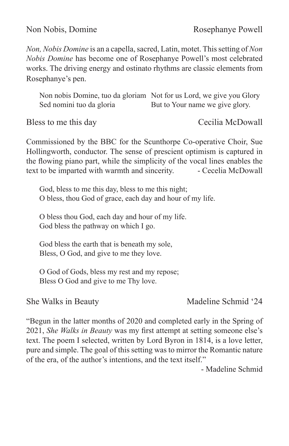Non Nobis, Domine Rosephanye Powell

*Non, Nobis Domine* is an a capella, sacred, Latin, motet. This setting of *Non Nobis Domine* has become one of Rosephanye Powell's most celebrated works. The driving energy and ostinato rhythms are classic elements from Rosephanye's pen.

Non nobis Domine, tuo da gloriam Not for us Lord, we give you Glory Sed nomini tuo da gloria But to Your name we give glory.

Bless to me this day Cecilia McDowall

Commissioned by the BBC for the Scunthorpe Co-operative Choir, Sue Hollingworth, conductor. The sense of prescient optimism is captured in the flowing piano part, while the simplicity of the vocal lines enables the text to be imparted with warmth and sincerity. - Cecelia McDowall

God, bless to me this day, bless to me this night; O bless, thou God of grace, each day and hour of my life.

O bless thou God, each day and hour of my life. God bless the pathway on which I go.

God bless the earth that is beneath my sole, Bless, O God, and give to me they love.

O God of Gods, bless my rest and my repose; Bless O God and give to me Thy love.

She Walks in Beauty Madeline Schmid '24

"Begun in the latter months of 2020 and completed early in the Spring of 2021, *She Walks in Beauty* was my first attempt at setting someone else's text. The poem I selected, written by Lord Byron in 1814, is a love letter, pure and simple. The goal of this setting was to mirror the Romantic nature of the era, of the author's intentions, and the text itself."

- Madeline Schmid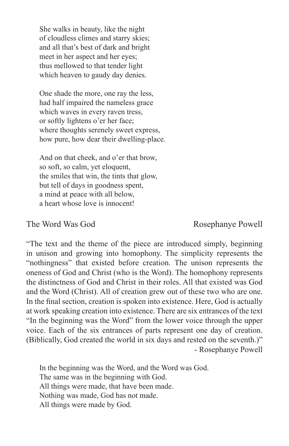She walks in beauty, like the night of cloudless climes and starry skies; and all that's best of dark and bright meet in her aspect and her eyes; thus mellowed to that tender light which heaven to gaudy day denies.

One shade the more, one ray the less, had half impaired the nameless grace which waves in every raven tress, or softly lightens o'er her face; where thoughts serenely sweet express, how pure, how dear their dwelling-place.

And on that cheek, and o'er that brow, so soft, so calm, yet eloquent, the smiles that win, the tints that glow, but tell of days in goodness spent, a mind at peace with all below, a heart whose love is innocent!

## The Word Was God Rosephanye Powell

"The text and the theme of the piece are introduced simply, beginning in unison and growing into homophony. The simplicity represents the "nothingness" that existed before creation. The unison represents the oneness of God and Christ (who is the Word). The homophony represents the distinctness of God and Christ in their roles. All that existed was God and the Word (Christ). All of creation grew out of these two who are one. In the final section, creation is spoken into existence. Here, God is actually at work speaking creation into existence. There are six entrances of the text "In the beginning was the Word" from the lower voice through the upper voice. Each of the six entrances of parts represent one day of creation. (Biblically, God created the world in six days and rested on the seventh.)" - Rosephanye Powell

In the beginning was the Word, and the Word was God. The same was in the beginning with God. All things were made, that have been made. Nothing was made, God has not made. All things were made by God.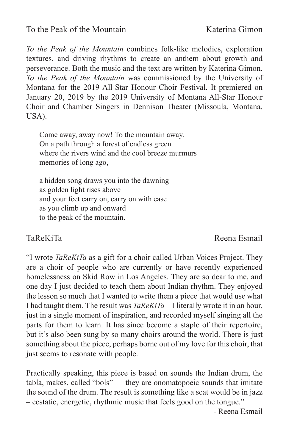## To the Peak of the Mountain Katerina Gimon

*To the Peak of the Mountain* combines folk-like melodies, exploration textures, and driving rhythms to create an anthem about growth and perseverance. Both the music and the text are written by Katerina Gimon. *To the Peak of the Mountain* was commissioned by the University of Montana for the 2019 All-Star Honour Choir Festival. It premiered on January 20, 2019 by the 2019 University of Montana All-Star Honour Choir and Chamber Singers in Dennison Theater (Missoula, Montana, USA).

Come away, away now! To the mountain away. On a path through a forest of endless green where the rivers wind and the cool breeze murmurs memories of long ago,

a hidden song draws you into the dawning as golden light rises above and your feet carry on, carry on with ease as you climb up and onward to the peak of the mountain.

## TaReKiTa **Reena Esmail**

"I wrote *TaReKiTa* as a gift for a choir called Urban Voices Project. They are a choir of people who are currently or have recently experienced homelessness on Skid Row in Los Angeles. They are so dear to me, and one day I just decided to teach them about Indian rhythm. They enjoyed the lesson so much that I wanted to write them a piece that would use what I had taught them. The result was *TaReKiTa* – I literally wrote it in an hour, just in a single moment of inspiration, and recorded myself singing all the parts for them to learn. It has since become a staple of their repertoire, but it's also been sung by so many choirs around the world. There is just something about the piece, perhaps borne out of my love for this choir, that just seems to resonate with people.

Practically speaking, this piece is based on sounds the Indian drum, the tabla, makes, called "bols" — they are onomatopoeic sounds that imitate the sound of the drum. The result is something like a scat would be in jazz – ecstatic, energetic, rhythmic music that feels good on the tongue."

- Reena Esmail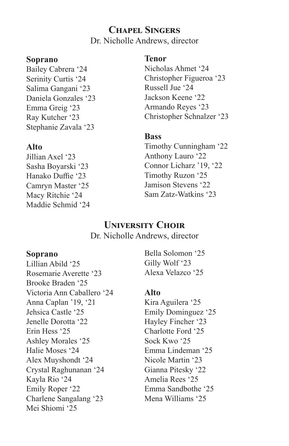# **Chapel Singers**

Dr. Nicholle Andrews, director

#### **Soprano**

Bailey Cabrera '24 Serinity Curtis '24 Salima Gangani '23 Daniela Gonzales '23 Emma Greig '23 Ray Kutcher '23 Stephanie Zavala '23

## **Alto**

Jillian Axel '23 Sasha Boyarski '23 Hanako Duffie '23 Camryn Master '25 Macy Ritchie '24 Maddie Schmid '24

## **Tenor**

Nicholas Ahmet '24 Christopher Figueroa '23 Russell Jue '24 Jackson Keene '22 Armando Reyes '23 Christopher Schnalzer '23

## **Bass**

Timothy Cunningham '22 Anthony Lauro '22 Connor Licharz '19, '22 Timothy Ruzon '25 Jamison Stevens '22 Sam Zatz-Watkins '23

## **University Choir**

Dr. Nicholle Andrews, director

#### **Soprano**

Lillian Abild '25 Rosemarie Averette '23 Brooke Braden '25 Victoria Ann Caballero '24 Anna Caplan '19, '21 Jehsica Castle '25 Jenelle Dorotta '22 Erin Hess '25 Ashley Morales '25 Halie Moses '24 Alex Muyshondt '24 Crystal Raghunanan '24 Kayla Rio '24 Emily Roper '22 Charlene Sangalang '23 Mei Shiomi '25

Bella Solomon '25 Gilly Wolf '23 Alexa Velazco '25

## **Alto**

Kira Aguilera '25 Emily Dominguez '25 Hayley Fincher '23 Charlotte Ford '25 Sock Kwo '25 Emma Lindeman '25 Nicole Martin '23 Gianna Pitesky '22 Amelia Rees '25 Emma Sandbothe '25 Mena Williams '25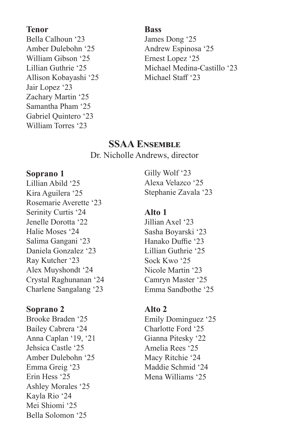#### **Tenor**

Bella Calhoun '23 Amber Dulebohn '25 William Gibson '25 Lillian Guthrie '25 Allison Kobayashi '25 Jair Lopez '23 Zachary Martin '25 Samantha Pham '25 Gabriel Quintero '23 William Torres '23

#### **Bass**

James Dong '25 Andrew Espinosa '25 Ernest Lopez '25 Michael Medina-Castillo '23 Michael Staff '23

## **SSAA Ensemble**

Dr. Nicholle Andrews, director

## **Soprano 1**

Lillian Abild '25 Kira Aguilera '25 Rosemarie Averette '23 Serinity Curtis '24 Jenelle Dorotta '22 Halie Moses '24 Salima Gangani '23 Daniela Gonzalez '23 Ray Kutcher '23 Alex Muyshondt '24 Crystal Raghunanan '24 Charlene Sangalang '23

## **Soprano 2**

Brooke Braden '25 Bailey Cabrera '24 Anna Caplan '19, '21 Jehsica Castle '25 Amber Dulebohn '25 Emma Greig '23 Erin Hess '25 Ashley Morales '25 Kayla Rio '24 Mei Shiomi '25 Bella Solomon '25

Gilly Wolf '23 Alexa Velazco '25 Stephanie Zavala '23

## **Alto 1**

Jillian Axel '23 Sasha Boyarski '23 Hanako Duffie '23 Lillian Guthrie '25 Sock Kwo '25 Nicole Martin '23 Camryn Master '25 Emma Sandbothe '25

## **Alto 2**

Emily Dominguez '25 Charlotte Ford '25 Gianna Pitesky '22 Amelia Rees '25 Macy Ritchie '24 Maddie Schmid '24 Mena Williams '25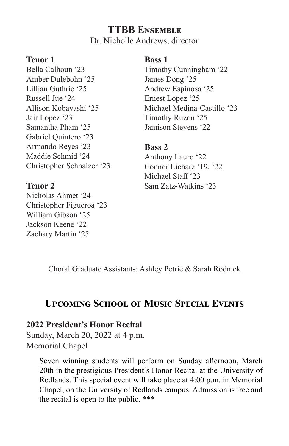## **TTBB Ensemble**

Dr. Nicholle Andrews, director

## **Tenor 1**

Bella Calhoun '23 Amber Dulebohn '25 Lillian Guthrie '25 Russell Jue '24 Allison Kobayashi '25 Jair Lopez '23 Samantha Pham '25 Gabriel Quintero '23 Armando Reyes '23 Maddie Schmid '24 Christopher Schnalzer '23

## **Tenor 2**

Nicholas Ahmet '24 Christopher Figueroa '23 William Gibson '25 Jackson Keene '22 Zachary Martin '25

#### **Bass 1**

Timothy Cunningham '22 James Dong '25 Andrew Espinosa '25 Ernest Lopez '25 Michael Medina-Castillo '23 Timothy Ruzon '25 Jamison Stevens '22

## **Bass 2**

Anthony Lauro '22 Connor Licharz '19, '22 Michael Staff '23 Sam Zatz-Watkins '23

Choral Graduate Assistants: Ashley Petrie & Sarah Rodnick

# **Upcoming School of Music Special Events**

## **2022 President's Honor Recital**

Sunday, March 20, 2022 at 4 p.m. Memorial Chapel

> Seven winning students will perform on Sunday afternoon, March 20th in the prestigious President's Honor Recital at the University of Redlands. This special event will take place at 4:00 p.m. in Memorial Chapel, on the University of Redlands campus. Admission is free and the recital is open to the public. \*\*\*